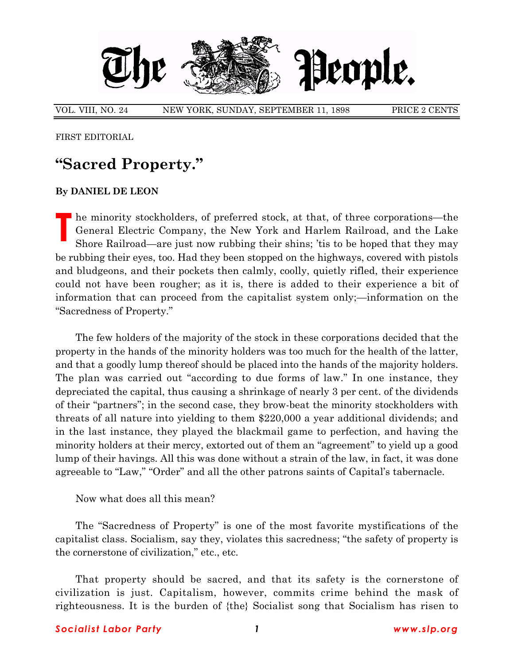

VOL. VIII, NO. 24 NEW YORK, SUNDAY, SEPTEMBER 11, 1898 PRICE 2 CENTS

FIRST EDITORIAL

## **ìSacred Property.î**

## **By DANIEL DE LEON**

**T** he minority stockholders, of preferred stock, at that, of three corporations—the General Electric Company, the New York and Harlem Railroad, and the Lake Shore Railroad—are just now rubbing their shins; 'tis to be hoped that they may be rubbing their eyes, too. Had they been stopped on the highways, covered with pistols and bludgeons, and their pockets then calmly, coolly, quietly rifled, their experience could not have been rougher; as it is, there is added to their experience a bit of information that can proceed from the capitalist system only;—information on the "Sacredness of Property."

The few holders of the majority of the stock in these corporations decided that the property in the hands of the minority holders was too much for the health of the latter, and that a goodly lump thereof should be placed into the hands of the majority holders. The plan was carried out "according to due forms of law." In one instance, they depreciated the capital, thus causing a shrinkage of nearly 3 per cent. of the dividends of their "partners"; in the second case, they brow-beat the minority stockholders with threats of all nature into yielding to them \$220,000 a year additional dividends; and in the last instance, they played the blackmail game to perfection, and having the minority holders at their mercy, extorted out of them an "agreement" to yield up a good lump of their havings. All this was done without a strain of the law, in fact, it was done agreeable to "Law," "Order" and all the other patrons saints of Capital's tabernacle.

Now what does all this mean?

The "Sacredness of Property" is one of the most favorite mystifications of the capitalist class. Socialism, say they, violates this sacredness; "the safety of property is the cornerstone of civilization," etc., etc.

That property should be sacred, and that its safety is the cornerstone of civilization is just. Capitalism, however, commits crime behind the mask of righteousness. It is the burden of {the} Socialist song that Socialism has risen to

## *Socialist Labor Party 1 www.slp.org*